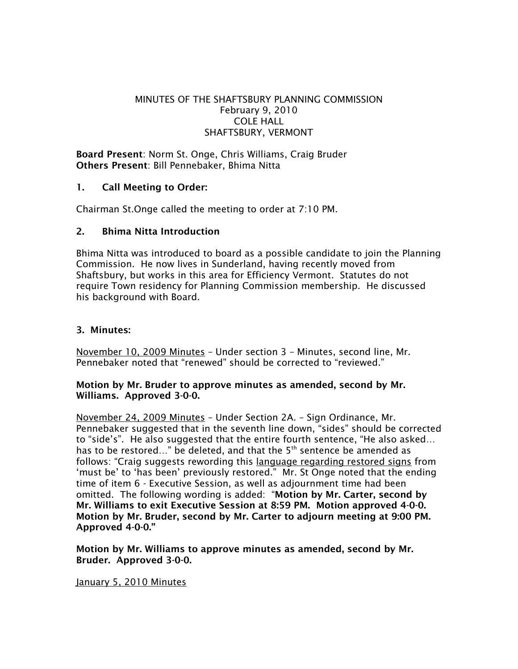# MINUTES OF THE SHAFTSBURY PLANNING COMMISSION February 9, 2010 COLE HALL SHAFTSBURY, VERMONT

Board Present: Norm St. Onge, Chris Williams, Craig Bruder Others Present: Bill Pennebaker, Bhima Nitta

# 1. Call Meeting to Order:

Chairman St.Onge called the meeting to order at 7:10 PM.

# 2. Bhima Nitta Introduction

Bhima Nitta was introduced to board as a possible candidate to join the Planning Commission. He now lives in Sunderland, having recently moved from Shaftsbury, but works in this area for Efficiency Vermont. Statutes do not require Town residency for Planning Commission membership. He discussed his background with Board.

## 3. Minutes:

November 10, 2009 Minutes – Under section 3 – Minutes, second line, Mr. Pennebaker noted that "renewed" should be corrected to "reviewed."

## Motion by Mr. Bruder to approve minutes as amended, second by Mr. Williams. Approved 3-0-0.

November 24, 2009 Minutes – Under Section 2A. – Sign Ordinance, Mr. Pennebaker suggested that in the seventh line down, "sides" should be corrected to "side's". He also suggested that the entire fourth sentence, "He also asked… has to be restored..." be deleted, and that the 5<sup>th</sup> sentence be amended as follows: "Craig suggests rewording this language regarding restored signs from 'must be' to 'has been' previously restored." Mr. St Onge noted that the ending time of item 6 - Executive Session, as well as adjournment time had been omitted. The following wording is added: "Motion by Mr. Carter, second by Mr. Williams to exit Executive Session at 8:59 PM. Motion approved 4-0-0. Motion by Mr. Bruder, second by Mr. Carter to adjourn meeting at 9:00 PM. Approved 4-0-0."

Motion by Mr. Williams to approve minutes as amended, second by Mr. Bruder. Approved 3-0-0.

## January 5, 2010 Minutes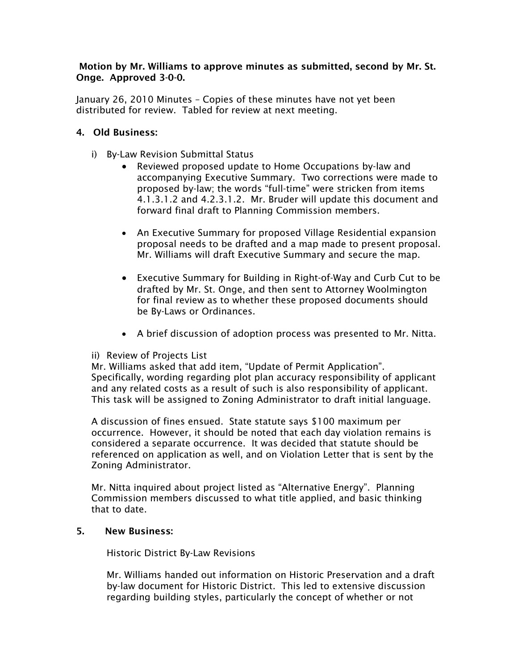## Motion by Mr. Williams to approve minutes as submitted, second by Mr. St. Onge. Approved 3-0-0.

January 26, 2010 Minutes – Copies of these minutes have not yet been distributed for review. Tabled for review at next meeting.

# 4. Old Business:

- i) By-Law Revision Submittal Status
	- Reviewed proposed update to Home Occupations by-law and accompanying Executive Summary. Two corrections were made to proposed by-law; the words "full-time" were stricken from items 4.1.3.1.2 and 4.2.3.1.2. Mr. Bruder will update this document and forward final draft to Planning Commission members.
	- An Executive Summary for proposed Village Residential expansion proposal needs to be drafted and a map made to present proposal. Mr. Williams will draft Executive Summary and secure the map.
	- Executive Summary for Building in Right-of-Way and Curb Cut to be drafted by Mr. St. Onge, and then sent to Attorney Woolmington for final review as to whether these proposed documents should be By-Laws or Ordinances.
	- A brief discussion of adoption process was presented to Mr. Nitta.

## ii) Review of Projects List

Mr. Williams asked that add item, "Update of Permit Application". Specifically, wording regarding plot plan accuracy responsibility of applicant and any related costs as a result of such is also responsibility of applicant. This task will be assigned to Zoning Administrator to draft initial language.

A discussion of fines ensued. State statute says \$100 maximum per occurrence. However, it should be noted that each day violation remains is considered a separate occurrence. It was decided that statute should be referenced on application as well, and on Violation Letter that is sent by the Zoning Administrator.

Mr. Nitta inquired about project listed as "Alternative Energy". Planning Commission members discussed to what title applied, and basic thinking that to date.

## 5. New Business:

Historic District By-Law Revisions

Mr. Williams handed out information on Historic Preservation and a draft by-law document for Historic District. This led to extensive discussion regarding building styles, particularly the concept of whether or not